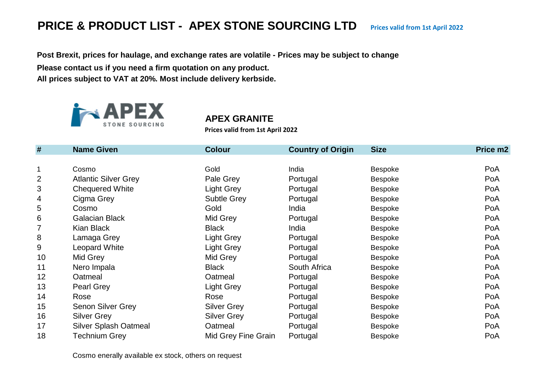# **PRICE & PRODUCT LIST - APEX STONE SOURCING LTD** Prices valid from 1st April 2022

**Post Brexit, prices for haulage, and exchange rates are volatile - Prices may be subject to change**

**Please contact us if you need a firm quotation on any product.**

**All prices subject to VAT at 20%. Most include delivery kerbside.** 



#### **APEX GRANITE**

**Prices valid from 1st April 2022**

| #              | <b>Name Given</b>            | <b>Colour</b>       | <b>Country of Origin</b> | <b>Size</b>    | Price m2 |
|----------------|------------------------------|---------------------|--------------------------|----------------|----------|
|                |                              |                     |                          |                |          |
| $\mathbf 1$    | Cosmo                        | Gold                | India                    | <b>Bespoke</b> | PoA      |
| $\overline{2}$ | <b>Atlantic Silver Grey</b>  | Pale Grey           | Portugal                 | <b>Bespoke</b> | PoA      |
| 3              | <b>Chequered White</b>       | Light Grey          | Portugal                 | <b>Bespoke</b> | PoA      |
| 4              | Cigma Grey                   | <b>Subtle Grey</b>  | Portugal                 | <b>Bespoke</b> | PoA      |
| 5              | Cosmo                        | Gold                | India                    | <b>Bespoke</b> | PoA      |
| 6              | <b>Galacian Black</b>        | Mid Grey            | Portugal                 | <b>Bespoke</b> | PoA      |
| 7              | Kian Black                   | <b>Black</b>        | India                    | <b>Bespoke</b> | PoA      |
| 8              | Lamaga Grey                  | <b>Light Grey</b>   | Portugal                 | <b>Bespoke</b> | PoA      |
| 9              | Leopard White                | <b>Light Grey</b>   | Portugal                 | Bespoke        | PoA      |
| 10             | Mid Grey                     | Mid Grey            | Portugal                 | <b>Bespoke</b> | PoA      |
| 11             | Nero Impala                  | <b>Black</b>        | South Africa             | <b>Bespoke</b> | PoA      |
| 12             | Oatmeal                      | Oatmeal             | Portugal                 | <b>Bespoke</b> | PoA      |
| 13             | <b>Pearl Grey</b>            | Light Grey          | Portugal                 | Bespoke        | PoA      |
| 14             | Rose                         | Rose                | Portugal                 | <b>Bespoke</b> | PoA      |
| 15             | Senon Silver Grey            | <b>Silver Grey</b>  | Portugal                 | <b>Bespoke</b> | PoA      |
| 16             | <b>Silver Grey</b>           | <b>Silver Grey</b>  | Portugal                 | Bespoke        | PoA      |
| 17             | <b>Silver Splash Oatmeal</b> | Oatmeal             | Portugal                 | <b>Bespoke</b> | PoA      |
| 18             | Technium Grey                | Mid Grey Fine Grain | Portugal                 | <b>Bespoke</b> | PoA      |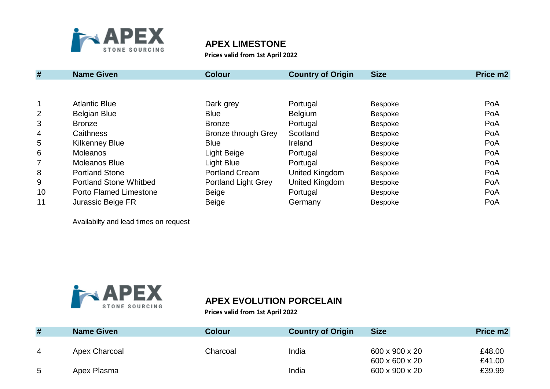

#### **APEX LIMESTONE**

**Prices valid from 1st April 2022**

| #              | <b>Name Given</b>             | <b>Colour</b>              | <b>Country of Origin</b> | <b>Size</b>    | Price m2 |
|----------------|-------------------------------|----------------------------|--------------------------|----------------|----------|
|                |                               |                            |                          |                |          |
|                | <b>Atlantic Blue</b>          | Dark grey                  | Portugal                 | <b>Bespoke</b> | PoA      |
| $\overline{2}$ | <b>Belgian Blue</b>           | <b>Blue</b>                | Belgium                  | <b>Bespoke</b> | PoA      |
| 3              | <b>Bronze</b>                 | <b>Bronze</b>              | Portugal                 | Bespoke        | PoA      |
| 4              | Caithness                     | <b>Bronze through Grey</b> | Scotland                 | <b>Bespoke</b> | PoA      |
| 5              | <b>Kilkenney Blue</b>         | <b>Blue</b>                | Ireland                  | <b>Bespoke</b> | PoA      |
| 6              | <b>Moleanos</b>               | Light Beige                | Portugal                 | <b>Bespoke</b> | PoA      |
| 7              | <b>Moleanos Blue</b>          | Light Blue                 | Portugal                 | <b>Bespoke</b> | PoA      |
| 8              | <b>Portland Stone</b>         | <b>Portland Cream</b>      | United Kingdom           | <b>Bespoke</b> | PoA      |
| 9              | <b>Portland Stone Whitbed</b> | <b>Portland Light Grey</b> | United Kingdom           | Bespoke        | PoA      |
| 10             | <b>Porto Flamed Limestone</b> | Beige                      | Portugal                 | <b>Bespoke</b> | PoA      |
| 11             | Jurassic Beige FR             | <b>Beige</b>               | Germany                  | <b>Bespoke</b> | PoA      |

Availabilty and lead times on request



# **APEX EVOLUTION PORCELAIN**

**Prices valid from 1st April 2022**

| #              | <b>Name Given</b> | <b>Colour</b> | <b>Country of Origin</b> | <b>Size</b>    | Price m2 |
|----------------|-------------------|---------------|--------------------------|----------------|----------|
|                |                   |               |                          |                |          |
| $\overline{4}$ | Apex Charcoal     | Charcoal      | India                    | 600 x 900 x 20 | £48.00   |
|                |                   |               |                          | 600 x 600 x 20 | £41.00   |
| 5              | Apex Plasma       |               | India                    | 600 x 900 x 20 | £39.99   |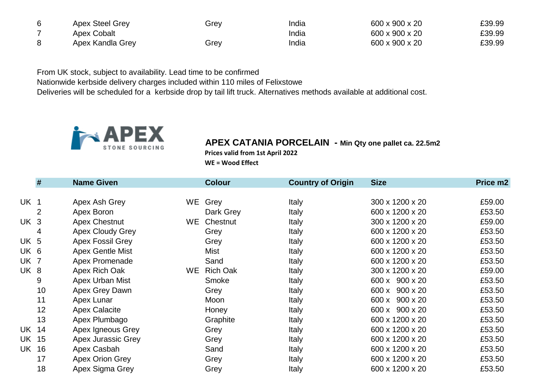| Apex Steel Grey  | Grev | India | 600 x 900 x 20 | £39.99 |
|------------------|------|-------|----------------|--------|
| Apex Cobalt      |      | India | 600 x 900 x 20 | £39.99 |
| Apex Kandla Grey | Grev | India | 600 x 900 x 20 | £39.99 |

From UK stock, subject to availability. Lead time to be confirmed Nationwide kerbside delivery charges included within 110 miles of Felixstowe Deliveries will be scheduled for a kerbside drop by tail lift truck. Alternatives methods available at additional cost.



# **APEX CATANIA PORCELAIN - Min Qty one pallet ca. 22.5m2**

**Prices valid from 1st April 2022**

**WE = Wood Effect**

|                 | #  | <b>Name Given</b>       |     | <b>Colour</b>   | <b>Country of Origin</b> | <b>Size</b>     | Price m2 |
|-----------------|----|-------------------------|-----|-----------------|--------------------------|-----------------|----------|
|                 |    |                         |     |                 |                          |                 |          |
| UK 1            |    | Apex Ash Grey           | WE. | Grey            | Italy                    | 300 x 1200 x 20 | £59.00   |
|                 | 2  | Apex Boron              |     | Dark Grey       | Italy                    | 600 x 1200 x 20 | £53.50   |
| UK <sub>3</sub> |    | <b>Apex Chestnut</b>    | WE. | Chestnut        | <b>Italy</b>             | 300 x 1200 x 20 | £59.00   |
|                 | 4  | <b>Apex Cloudy Grey</b> |     | Grey            | Italy                    | 600 x 1200 x 20 | £53.50   |
| UK 5            |    | <b>Apex Fossil Grey</b> |     | Grey            | Italy                    | 600 x 1200 x 20 | £53.50   |
| UK 6            |    | <b>Apex Gentle Mist</b> |     | <b>Mist</b>     | Italy                    | 600 x 1200 x 20 | £53.50   |
| UK 7            |    | Apex Promenade          |     | Sand            | Italy                    | 600 x 1200 x 20 | £53.50   |
| UK 8            |    | Apex Rich Oak           | WE. | <b>Rich Oak</b> | Italy                    | 300 x 1200 x 20 | £59.00   |
|                 | 9  | Apex Urban Mist         |     | Smoke           | Italy                    | 600 x 900 x 20  | £53.50   |
|                 | 10 | Apex Grey Dawn          |     | Grey            | Italy                    | 600 x 900 x 20  | £53.50   |
|                 | 11 | Apex Lunar              |     | Moon            | Italy                    | 600 x 900 x 20  | £53.50   |
|                 | 12 | <b>Apex Calacite</b>    |     | Honey           | <b>Italy</b>             | 600 x 900 x 20  | £53.50   |
|                 | 13 | Apex Plumbago           |     | Graphite        | Italy                    | 600 x 1200 x 20 | £53.50   |
| UK              | 14 | Apex Igneous Grey       |     | Grey            | <b>Italy</b>             | 600 x 1200 x 20 | £53.50   |
| UK              | 15 | Apex Jurassic Grey      |     | Grey            | Italy                    | 600 x 1200 x 20 | £53.50   |
| UK              | 16 | Apex Casbah             |     | Sand            | Italy                    | 600 x 1200 x 20 | £53.50   |
|                 | 17 | Apex Orion Grey         |     | Grey            | Italy                    | 600 x 1200 x 20 | £53.50   |
|                 | 18 | Apex Sigma Grey         |     | Grey            | Italy                    | 600 x 1200 x 20 | £53.50   |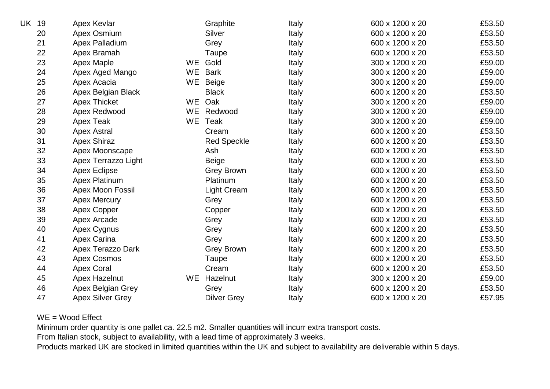| UK | 19 | Apex Kevlar             |           | Graphite           | Italy        | 600 x 1200 x 20 | £53.50 |
|----|----|-------------------------|-----------|--------------------|--------------|-----------------|--------|
|    | 20 | Apex Osmium             |           | <b>Silver</b>      | Italy        | 600 x 1200 x 20 | £53.50 |
|    | 21 | Apex Palladium          |           | Grey               | <b>Italy</b> | 600 x 1200 x 20 | £53.50 |
|    | 22 | Apex Bramah             |           | Taupe              | Italy        | 600 x 1200 x 20 | £53.50 |
|    | 23 | <b>Apex Maple</b>       | <b>WE</b> | Gold               | Italy        | 300 x 1200 x 20 | £59.00 |
|    | 24 | Apex Aged Mango         | <b>WE</b> | <b>Bark</b>        | Italy        | 300 x 1200 x 20 | £59.00 |
|    | 25 | Apex Acacia             | WE        | Beige              | Italy        | 300 x 1200 x 20 | £59.00 |
|    | 26 | Apex Belgian Black      |           | <b>Black</b>       | Italy        | 600 x 1200 x 20 | £53.50 |
|    | 27 | <b>Apex Thicket</b>     | <b>WE</b> | Oak                | Italy        | 300 x 1200 x 20 | £59.00 |
|    | 28 | Apex Redwood            | <b>WE</b> | Redwood            | <b>Italy</b> | 300 x 1200 x 20 | £59.00 |
|    | 29 | Apex Teak               | WE        | Teak               | Italy        | 300 x 1200 x 20 | £59.00 |
|    | 30 | <b>Apex Astral</b>      |           | Cream              | Italy        | 600 x 1200 x 20 | £53.50 |
|    | 31 | <b>Apex Shiraz</b>      |           | <b>Red Speckle</b> | Italy        | 600 x 1200 x 20 | £53.50 |
|    | 32 | Apex Moonscape          |           | Ash                | Italy        | 600 x 1200 x 20 | £53.50 |
|    | 33 | Apex Terrazzo Light     |           | <b>Beige</b>       | Italy        | 600 x 1200 x 20 | £53.50 |
|    | 34 | <b>Apex Eclipse</b>     |           | <b>Grey Brown</b>  | Italy        | 600 x 1200 x 20 | £53.50 |
|    | 35 | <b>Apex Platinum</b>    |           | Platinum           | Italy        | 600 x 1200 x 20 | £53.50 |
|    | 36 | Apex Moon Fossil        |           | <b>Light Cream</b> | Italy        | 600 x 1200 x 20 | £53.50 |
|    | 37 | <b>Apex Mercury</b>     |           | Grey               | Italy        | 600 x 1200 x 20 | £53.50 |
|    | 38 | Apex Copper             |           | Copper             | Italy        | 600 x 1200 x 20 | £53.50 |
|    | 39 | Apex Arcade             |           | Grey               | Italy        | 600 x 1200 x 20 | £53.50 |
|    | 40 | Apex Cygnus             |           | Grey               | Italy        | 600 x 1200 x 20 | £53.50 |
|    | 41 | <b>Apex Carina</b>      |           | Grey               | Italy        | 600 x 1200 x 20 | £53.50 |
|    | 42 | Apex Terazzo Dark       |           | <b>Grey Brown</b>  | Italy        | 600 x 1200 x 20 | £53.50 |
|    | 43 | <b>Apex Cosmos</b>      |           | Taupe              | Italy        | 600 x 1200 x 20 | £53.50 |
|    | 44 | <b>Apex Coral</b>       |           | Cream              | Italy        | 600 x 1200 x 20 | £53.50 |
|    | 45 | Apex Hazelnut           | WE.       | Hazelnut           | Italy        | 300 x 1200 x 20 | £59.00 |
|    | 46 | Apex Belgian Grey       |           | Grey               | Italy        | 600 x 1200 x 20 | £53.50 |
|    | 47 | <b>Apex Silver Grey</b> |           | <b>Dilver Grey</b> | Italy        | 600 x 1200 x 20 | £57.95 |

#### WE = Wood Effect

Minimum order quantity is one pallet ca. 22.5 m2. Smaller quantities will incurr extra transport costs.

From Italian stock, subject to availability, with a lead time of approximately 3 weeks.

Products marked UK are stocked in limited quantities within the UK and subject to availability are deliverable within 5 days.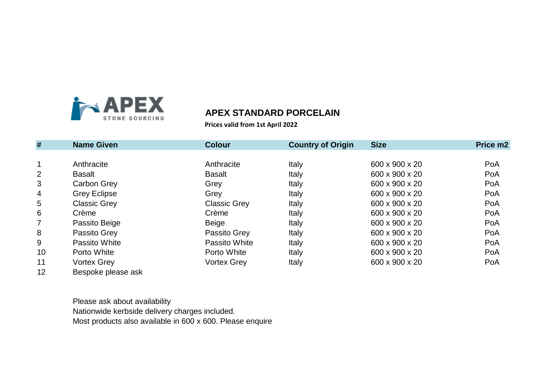

#### **APEX STANDARD PORCELAIN**

**Prices valid from 1st April 2022**

| #              | <b>Name Given</b>   | <b>Colour</b>       | <b>Country of Origin</b> | <b>Size</b>    | Price m2 |
|----------------|---------------------|---------------------|--------------------------|----------------|----------|
|                |                     |                     |                          |                |          |
| $\mathbf 1$    | Anthracite          | Anthracite          | Italy                    | 600 x 900 x 20 | PoA      |
| $\overline{2}$ | <b>Basalt</b>       | <b>Basalt</b>       | Italy                    | 600 x 900 x 20 | PoA      |
| 3              | <b>Carbon Grey</b>  | Grey                | Italy                    | 600 x 900 x 20 | PoA      |
| 4              | <b>Grey Eclipse</b> | Grey                | Italy                    | 600 x 900 x 20 | PoA      |
| 5              | <b>Classic Grey</b> | <b>Classic Grey</b> | Italy                    | 600 x 900 x 20 | PoA      |
| 6              | Crème               | Crème               | Italy                    | 600 x 900 x 20 | PoA      |
| $\overline{7}$ | Passito Beige       | <b>Beige</b>        | Italy                    | 600 x 900 x 20 | PoA      |
| 8              | Passito Grey        | Passito Grey        | Italy                    | 600 x 900 x 20 | PoA      |
| 9              | Passito White       | Passito White       | Italy                    | 600 x 900 x 20 | PoA      |
| 10             | Porto White         | Porto White         | Italy                    | 600 x 900 x 20 | PoA      |
| 11             | <b>Vortex Grey</b>  | <b>Vortex Grey</b>  | Italy                    | 600 x 900 x 20 | PoA      |
| 12             | Bespoke please ask  |                     |                          |                |          |

Please ask about availability Nationwide kerbside delivery charges included. Most products also available in 600 x 600. Please enquire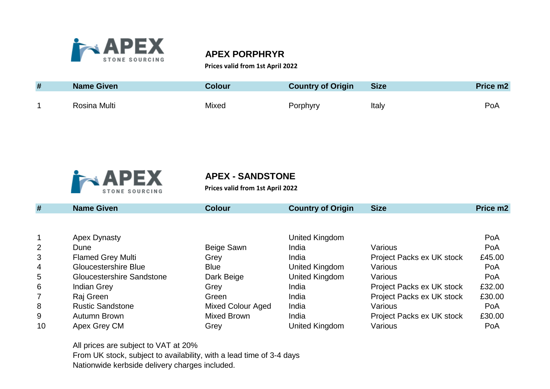

#### **APEX PORPHRYR**

#### **Prices valid from 1st April 2022**

| # | <b>Name Given</b> | <b>Colour</b> | <b>Country of Origin</b> | <b>Size</b> | Price m2 |
|---|-------------------|---------------|--------------------------|-------------|----------|
|   | Rosina Multi      | Mixed         | Porphyry                 | Italy       | PoA      |



### **APEX - SANDSTONE**

**Prices valid from 1st April 2022**

| #  | <b>Name Given</b>                | <b>Colour</b>            | <b>Country of Origin</b> | <b>Size</b>               | Price m <sub>2</sub> |
|----|----------------------------------|--------------------------|--------------------------|---------------------------|----------------------|
|    |                                  |                          |                          |                           |                      |
| 1  | Apex Dynasty                     |                          | United Kingdom           |                           | PoA                  |
| 2  | Dune                             | Beige Sawn               | India                    | Various                   | PoA                  |
| 3  | <b>Flamed Grey Multi</b>         | Grey                     | India                    | Project Packs ex UK stock | £45.00               |
| 4  | <b>Gloucestershire Blue</b>      | <b>Blue</b>              | United Kingdom           | Various                   | PoA                  |
| 5  | <b>Gloucestershire Sandstone</b> | Dark Beige               | United Kingdom           | Various                   | PoA                  |
| 6  | <b>Indian Grey</b>               | Grey                     | India                    | Project Packs ex UK stock | £32.00               |
| 7  | Raj Green                        | Green                    | India                    | Project Packs ex UK stock | £30.00               |
| 8  | <b>Rustic Sandstone</b>          | <b>Mixed Colour Aged</b> | India                    | Various                   | PoA                  |
| 9  | Autumn Brown                     | Mixed Brown              | India                    | Project Packs ex UK stock | £30.00               |
| 10 | Apex Grey CM                     | Grey                     | United Kingdom           | Various                   | PoA                  |

All prices are subject to VAT at 20% From UK stock, subject to availability, with a lead time of 3-4 days Nationwide kerbside delivery charges included.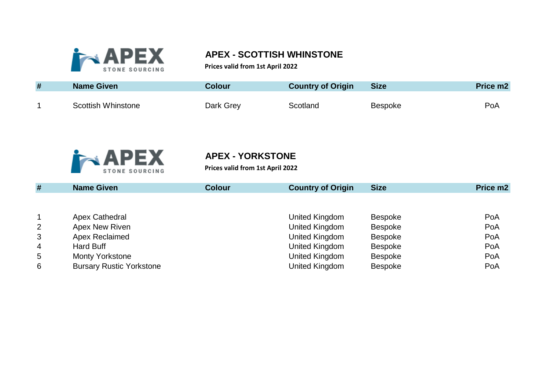

# **APEX - SCOTTISH WHINSTONE**

**Prices valid from 1st April 2022**

| # | Name Given                | Colour⊦   | <b>Country of Origin</b> | <b>Size</b>    | Price m <sub>2</sub> |
|---|---------------------------|-----------|--------------------------|----------------|----------------------|
|   | <b>Scottish Whinstone</b> | Dark Grey | Scotland                 | <b>Bespoke</b> | PoA                  |



# **APEX - YORKSTONE**

**Prices valid from 1st April 2022**

| #              | <b>Name Given</b>               | <b>Colour</b> | <b>Country of Origin</b> | <b>Size</b>    | Price m2 |
|----------------|---------------------------------|---------------|--------------------------|----------------|----------|
|                |                                 |               |                          |                |          |
|                | Apex Cathedral                  |               | United Kingdom           | <b>Bespoke</b> | PoA      |
| 2              | Apex New Riven                  |               | United Kingdom           | <b>Bespoke</b> | PoA      |
| 3              | Apex Reclaimed                  |               | United Kingdom           | <b>Bespoke</b> | PoA      |
| $\overline{4}$ | Hard Buff                       |               | United Kingdom           | <b>Bespoke</b> | PoA      |
| 5              | <b>Monty Yorkstone</b>          |               | United Kingdom           | <b>Bespoke</b> | PoA      |
| 6              | <b>Bursary Rustic Yorkstone</b> |               | United Kingdom           | <b>Bespoke</b> | PoA      |